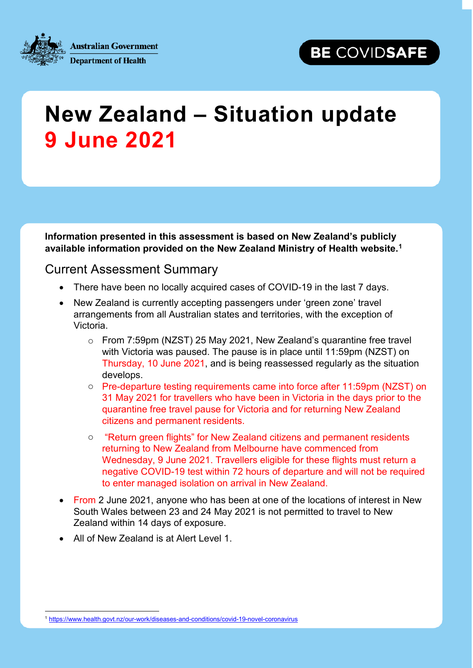

**Australian Government Department of Health** 

## **New Zealand – Situation update 9 June 2021**

**Information presented in this assessment is based on New Zealand's publicly available information provided on the New Zealand Ministry of Health website.[1](#page-0-0)**

## Current Assessment Summary

- There have been no locally acquired cases of COVID-19 in the last 7 days.
- New Zealand is currently accepting passengers under 'green zone' travel arrangements from all Australian states and territories, with the exception of Victoria.
	- o From 7:59pm (NZST) 25 May 2021, New Zealand's quarantine free travel with Victoria was paused. The pause is in place until 11:59pm (NZST) on Thursday, 10 June 2021, and is being reassessed regularly as the situation develops.
	- o Pre-departure testing requirements came into force after 11:59pm (NZST) on 31 May 2021 for travellers who have been in Victoria in the days prior to the quarantine free travel pause for Victoria and for returning New Zealand citizens and permanent residents.
	- o "Return green flights" for New Zealand citizens and permanent residents returning to New Zealand from Melbourne have commenced from Wednesday, 9 June 2021. Travellers eligible for these flights must return a negative COVID-19 test within 72 hours of departure and will not be required to enter managed isolation on arrival in New Zealand.
- From 2 June 2021, anyone who has been at one of the locations of interest in New South Wales between 23 and 24 May 2021 is not permitted to travel to New Zealand within 14 days of exposure.
- All of New Zealand is at Alert Level 1.

<span id="page-0-0"></span> <sup>1</sup> <https://www.health.govt.nz/our-work/diseases-and-conditions/covid-19-novel-coronavirus>